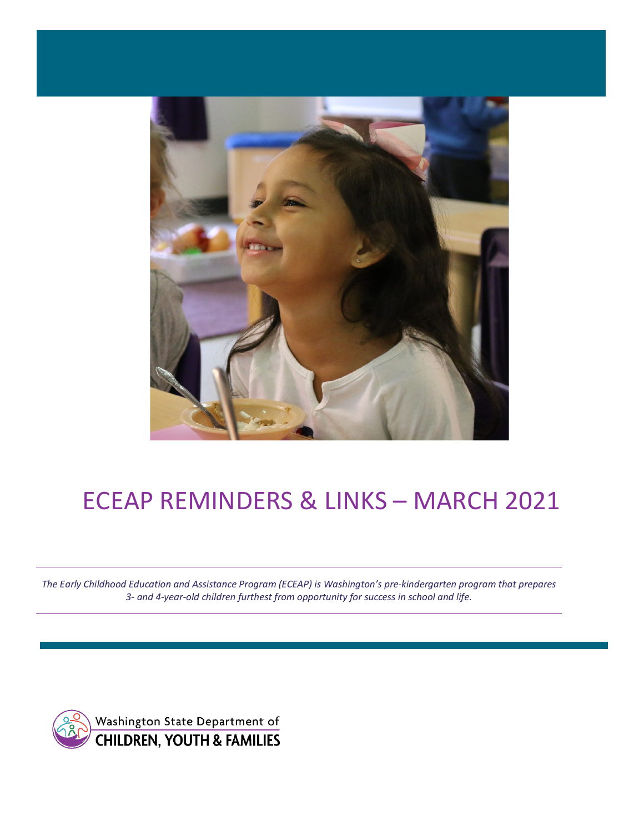

# ECEAP REMINDERS & LINKS – MARCH 2021

*The Early Childhood Education and Assistance Program (ECEAP) is Washington's pre-kindergarten program that prepares 3- and 4-year-old children furthest from opportunity for success in school and life.*

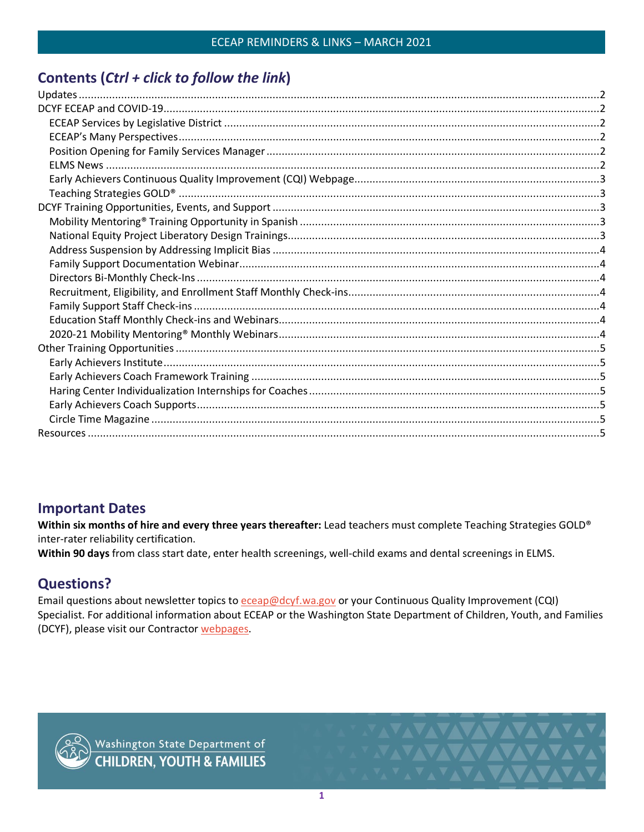# Contents (Ctrl + click to follow the link)

# **Important Dates**

Within six months of hire and every three years thereafter: Lead teachers must complete Teaching Strategies GOLD® inter-rater reliability certification.

Within 90 days from class start date, enter health screenings, well-child exams and dental screenings in ELMS.

# **Questions?**

Email questions about newsletter topics to eceap@dcyf.wa.gov or your Continuous Quality Improvement (CQI) Specialist. For additional information about ECEAP or the Washington State Department of Children, Youth, and Families (DCYF), please visit our Contractor webpages.



**VAVAVAV**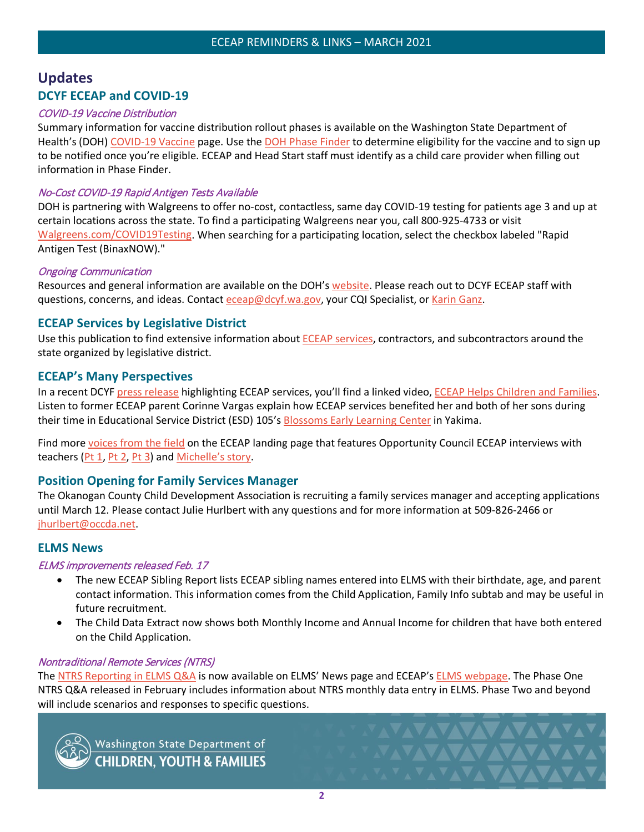# <span id="page-2-1"></span><span id="page-2-0"></span>**Updates DCYF ECEAP and COVID-19**

#### COVID-19 Vaccine Distribution

Summary information for vaccine distribution rollout phases is available on the Washington State Department of Health's (DOH) [COVID-19 Vaccine](https://www.doh.wa.gov/Emergencies/COVID19/Vaccine) page. Use the [DOH Phase Finder](https://form.findyourphasewa.org/210118771253954) to determine eligibility for the vaccine and to sign up to be notified once you're eligible. ECEAP and Head Start staff must identify as a child care provider when filling out information in Phase Finder.

#### No-Cost COVID-19 Rapid Antigen Tests Available

DOH is partnering with Walgreens to offer no-cost, contactless, same day COVID-19 testing for patients age 3 and up at certain locations across the state. To find a participating Walgreens near you, call 800-925-4733 or visit [Walgreens.com/COVID19Testing.](https://gcc02.safelinks.protection.outlook.com/?url=https%3A%2F%2Flnks.gd%2Fl%2FeyJhbGciOiJIUzI1NiJ9.eyJidWxsZXRpbl9saW5rX2lkIjoxMDEsInVyaSI6ImJwMjpjbGljayIsImJ1bGxldGluX2lkIjoiMjAyMTAxMjUuMzM5NDExOTEiLCJ1cmwiOiJodHRwczovL3d3dy53YWxncmVlbnMuY29tL2ZpbmRjYXJlL2NvdmlkMTkvdGVzdGluZz9iYW49Y292aWRfdmFuaXR5X3Rlc3RpbmcifQ.096COzIT5kFcBJ3gdVFkBLTZiXp-T202qkX0QkAEwqc%2Fs%2F924553572%2Fbr%2F93590204435-l&data=04%7C01%7Ccarolyn.house-higgins%40dcyf.wa.gov%7C26afbe0dc2f24dbc1e9808d8c1894eb1%7C11d0e217264e400a8ba057dcc127d72d%7C0%7C0%7C637472143519022181%7CUnknown%7CTWFpbGZsb3d8eyJWIjoiMC4wLjAwMDAiLCJQIjoiV2luMzIiLCJBTiI6Ik1haWwiLCJXVCI6Mn0%3D%7C1000&sdata=7vvoxOUyxx%2FWqG1xSquS2%2BB5KmKBMDE5vde9T6tyD8k%3D&reserved=0) When searching for a participating location, select the checkbox labeled "Rapid Antigen Test (BinaxNOW)."

#### Ongoing Communication

Resources and general information are available on the DOH's [website.](https://www.doh.wa.gov/Emergencies/COVID19) Please reach out to DCYF ECEAP staff with questions, concerns, and ideas. Contact [eceap@dcyf.wa.gov,](mailto:eceap@dcyf.wa.gov) your CQI Specialist, or [Karin Ganz.](mailto:karin.ganz@dcyf.wa.gov)

# <span id="page-2-2"></span>**ECEAP Services by Legislative District**

Use this publication to find extensive information about **ECEAP services**, contractors, and subcontractors around the state organized by legislative district.

## <span id="page-2-3"></span>**ECEAP's Many Perspectives**

In a recent DCYF [press release](https://www.dcyf.wa.gov/about/media/media-releases/2021-01-25) highlighting ECEAP services, you'll find a linked video, [ECEAP Helps Children and Families.](https://gcc02.safelinks.protection.outlook.com/?url=https%3A%2F%2Fwww.youtube.com%2Fwatch%3Fv%3DQB9TvWikEnE&data=04%7C01%7Cemily.boone%40dcyf.wa.gov%7Cb656448cb73e49ddacb208d8c14a54ce%7C11d0e217264e400a8ba057dcc127d72d%7C0%7C0%7C637471873160097587%7CUnknown%7CTWFpbGZsb3d8eyJWIjoiMC4wLjAwMDAiLCJQIjoiV2luMzIiLCJBTiI6Ik1haWwiLCJXVCI6Mn0%3D%7C1000&sdata=odmtTCPveDfXNGW32W2ZU8tMZeB3T75ZEnSgalz20II%3D&reserved=0) Listen to former ECEAP parent Corinne Vargas explain how ECEAP services benefited her and both of her sons during their time in Educational Service District (ESD) 105's [Blossoms Early Learning Center](https://www.esd105.org/Page/1060) in Yakima.

Find more [voices from the field](https://www.dcyf.wa.gov/services/early-learning-providers/eceap) on the ECEAP landing page that features Opportunity Council ECEAP interviews with teachers [\(Pt 1,](https://www.youtube.com/watch?v=bN_TYIEcF-c&feature=youtu.be) [Pt 2,](https://www.youtube.com/watch?v=1rWBfi0TWyg) [Pt 3\)](https://www.youtube.com/watch?v=l_DJ8SzOrsM) and [Michelle's story.](https://dcyf.wa.gov/news/eceap-strong-foundations-strong-futures)

## <span id="page-2-4"></span>**Position Opening for Family Services Manager**

The Okanogan County Child Development Association is recruiting a family services manager and accepting applications until March 12. Please contact Julie Hurlbert with any questions and for more information at 509-826-2466 or [jhurlbert@occda.net.](mailto:jhurlbert@occda.net)

## <span id="page-2-5"></span>**ELMS News**

#### ELMS improvements released Feb. 17

- The new ECEAP Sibling Report lists ECEAP sibling names entered into ELMS with their birthdate, age, and parent contact information. This information comes from the Child Application, Family Info subtab and may be useful in future recruitment.
- The Child Data Extract now shows both Monthly Income and Annual Income for children that have both entered on the Child Application.

**VAVAVAVAVA** 

**XAXAXAXAXAX** 

#### Nontraditional Remote Services (NTRS)

The [NTRS Reporting in ELMS Q&A](https://www.dcyf.wa.gov/sites/default/files/pdf/eceap/NTRS_Reporting_in_ELMS_QA.pdf) is now available on ELMS' News page and ECEAP's [ELMS webpage.](https://www.dcyf.wa.gov/services/early-learning-providers/eceap/elms) The Phase One NTRS Q&A released in February includes information about NTRS monthly data entry in ELMS. Phase Two and beyond will include scenarios and responses to specific questions.



Washington State Department of<br>CHILDREN, YOUTH & FAMILIES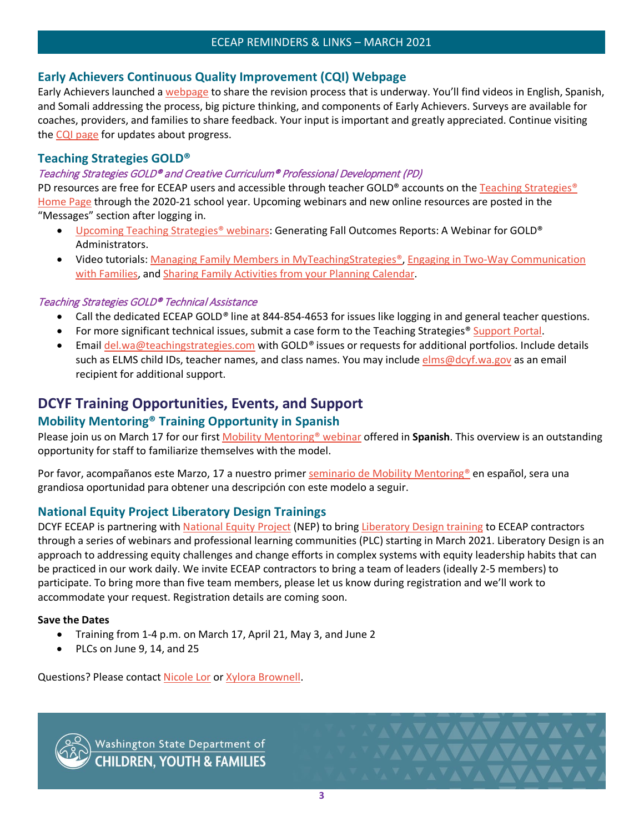# <span id="page-3-0"></span>**Early Achievers Continuous Quality Improvement (CQI) Webpage**

Early Achievers launched [a webpage](https://www.dcyf.wa.gov/services/early-learning-providers/early-achievers/cqi) to share the revision process that is underway. You'll find videos in English, Spanish, and Somali addressing the process, big picture thinking, and components of Early Achievers. Surveys are available for coaches, providers, and families to share feedback. Your input is important and greatly appreciated. Continue visiting the [CQI page](https://www.dcyf.wa.gov/services/early-learning-providers/early-achievers/cqi) for updates about progress.

# <span id="page-3-1"></span>**Teaching Strategies GOLD®**

## Teaching Strategies GOLD® and Creative Curriculum® Professional Development (PD)

PD resources are free for ECEAP users and accessible through teacher GOLD® accounts on the [Teaching Strategies®](https://teachingstrategies.com/) [Home Page](https://teachingstrategies.com/) through the 2020-21 school year. Upcoming webinars and new online resources are posted in the "Messages" section after logging in.

- [Upcoming Teaching Strategies®](https://teachingstrategies.force.com/portal/s/webinars) webinars: Generating Fall Outcomes Reports: A Webinar for GOLD® Administrators.
- Video tutorials: [Managing Family Members in MyTeachingStrategies®,](https://teachingstrategies.force.com/portal/s/article/Video-Managing-Family-Members-in-MyTeachingStrategies?mkt_tok=eyJpIjoiT0dRNU5EWmxNVE5pTUdZNCIsInQiOiI0MDBFc2paY1NEclJsOFBNS3FpODFvWVcyakRLMVd1UTV1QXlKdFZwMHBENk1ERUlpVGFxSk9UWHJNMnArT1JJSE4xejBtZ3R4Mzd6R0d4YWFjazJ2bkRFc1dRTGJaaTJJaWNIaW9KOGhIcjdmQStHekFNWWRkQUZINlhpZkJaNSJ9) [Engaging in Two-Way Communication](https://teachingstrategies.force.com/portal/s/article/Video-Engaging-in-Two-Way-Communication-with-Families?mkt_tok=eyJpIjoiT0dRNU5EWmxNVE5pTUdZNCIsInQiOiI0MDBFc2paY1NEclJsOFBNS3FpODFvWVcyakRLMVd1UTV1QXlKdFZwMHBENk1ERUlpVGFxSk9UWHJNMnArT1JJSE4xejBtZ3R4Mzd6R0d4YWFjazJ2bkRFc1dRTGJaaTJJaWNIaW9KOGhIcjdmQStHekFNWWRkQUZINlhpZkJaNSJ9)  [with Families,](https://teachingstrategies.force.com/portal/s/article/Video-Engaging-in-Two-Way-Communication-with-Families?mkt_tok=eyJpIjoiT0dRNU5EWmxNVE5pTUdZNCIsInQiOiI0MDBFc2paY1NEclJsOFBNS3FpODFvWVcyakRLMVd1UTV1QXlKdFZwMHBENk1ERUlpVGFxSk9UWHJNMnArT1JJSE4xejBtZ3R4Mzd6R0d4YWFjazJ2bkRFc1dRTGJaaTJJaWNIaW9KOGhIcjdmQStHekFNWWRkQUZINlhpZkJaNSJ9) and [Sharing Family Activities from your Planning Calendar.](https://teachingstrategies.force.com/portal/s/article/Video-Sharing-Family-Activities-from-Your-Planning-Calendar?mkt_tok=eyJpIjoiT0dRNU5EWmxNVE5pTUdZNCIsInQiOiI0MDBFc2paY1NEclJsOFBNS3FpODFvWVcyakRLMVd1UTV1QXlKdFZwMHBENk1ERUlpVGFxSk9UWHJNMnArT1JJSE4xejBtZ3R4Mzd6R0d4YWFjazJ2bkRFc1dRTGJaaTJJaWNIaW9KOGhIcjdmQStHekFNWWRkQUZINlhpZkJaNSJ9)

#### Teaching Strategies GOLD® Technical Assistance

- Call the dedicated ECEAP GOLD*®* line at 844-854-4653 for issues like logging in and general teacher questions.
- For more significant technical issues, submit a case form to the Teaching Strategies® [Support Portal.](https://teachingstrategies.force.com/portal/s/submit-a-case)
- Email [del.wa@teachingstrategies.com](mailto:del.wa@teachingstrategies.com) with GOLD*®* issues or requests for additional portfolios. Include details such as ELMS child IDs, teacher names, and class names. You may include [elms@dcyf.wa.gov](mailto:elms@dcyf.wa.gov) as an email recipient for additional support.

# <span id="page-3-2"></span>**DCYF Training Opportunities, Events, and Support**

# <span id="page-3-3"></span>**Mobility Mentoring® Training Opportunity in Spanish**

Please join us on March 17 for our firs[t Mobility Mentoring®](https://attendee.gotowebinar.com/register/2367508432096897547) webinar offered in **Spanish**. This overview is an outstanding opportunity for staff to familiarize themselves with the model.

Por favor, acompañanos este Marzo, 17 a nuestro primer [seminario de Mobility Mentoring®](https://attendee.gotowebinar.com/register/2367508432096897547) en español, sera una grandiosa oportunidad para obtener una descripción con este modelo a seguir.

# <span id="page-3-4"></span>**National Equity Project Liberatory Design Trainings**

DCYF ECEAP is partnering with [National Equity Project](https://www.nationalequityproject.org/) (NEP) to bring [Liberatory Design training](https://www.nationalequityproject.org/frameworks/liberatory-design#:%7E:text=Liberatory%20Design%20is%20an%20approach,those%20most%20impacted%20by%20oppression) to ECEAP contractors through a series of webinars and professional learning communities (PLC) starting in March 2021. Liberatory Design is an approach to addressing equity challenges and change efforts in complex systems with equity leadership habits that can be practiced in our work daily. We invite ECEAP contractors to bring a team of leaders (ideally 2-5 members) to participate. To bring more than five team members, please let us know during registration and we'll work to accommodate your request. Registration details are coming soon.

## **Save the Dates**

- Training from 1-4 p.m. on March 17, April 21, May 3, and June 2
- PLCs on June 9, 14, and 25

Questions? Please contact [Nicole Lor](mailto:Nicole.lor@dcyf.wa.gov) or [Xylora Brownell.](mailto:Xyzlora.brownell@dcyf.wa.gov)



Washington State Department of<br>CHILDREN, YOUTH & FAMILIES

**YAYAYAYAYA** 

**VAVAVAVAVAVA**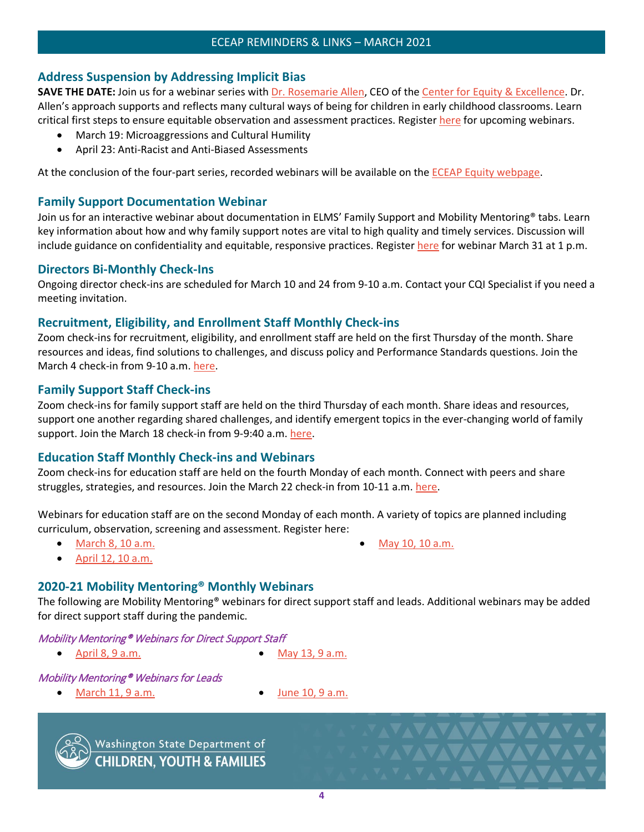# <span id="page-4-0"></span>**Address Suspension by Addressing Implicit Bias**

**SAVE THE DATE:** Join us for a webinar series with *Dr. Rosemarie Allen*, CEO of the *Center for Equity & Excellence*. Dr. Allen's approach supports and reflects many cultural ways of being for children in early childhood classrooms. Learn critical first steps to ensure equitable observation and assessment practices. Register [here](https://www.surveymonkey.com/r/VDP5RSL) for upcoming webinars.

- March 19: Microaggressions and Cultural Humility
- April 23: Anti-Racist and Anti-Biased Assessments

At the conclusion of the four-part series, recorded webinars will be available on the [ECEAP Equity webpage.](https://www.dcyf.wa.gov/services/early-learning-providers/eceap/equity)

# <span id="page-4-1"></span>**Family Support Documentation Webinar**

Join us for an interactive webinar about documentation in ELMS' Family Support and Mobility Mentoring<sup>®</sup> tabs. Learn key information about how and why family support notes are vital to high quality and timely services. Discussion will include guidance on confidentiality and equitable, responsive practices. Registe[r here](https://attendee.gotowebinar.com/register/7151847462630619920) for webinar March 31 at 1 p.m.

## <span id="page-4-2"></span>**Directors Bi-Monthly Check-Ins**

Ongoing director check-ins are scheduled for March 10 and 24 from 9-10 a.m. Contact your CQI Specialist if you need a meeting invitation.

## <span id="page-4-3"></span>**Recruitment, Eligibility, and Enrollment Staff Monthly Check-ins**

Zoom check-ins for recruitment, eligibility, and enrollment staff are held on the first Thursday of the month. Share resources and ideas, find solutions to challenges, and discuss policy and Performance Standards questions. Join the March 4 check-in from 9-10 a.m. [here.](https://dcyf.zoom.us/j/82813244358?pwd=ZnFBMGh1UndkTnpYVmFiRjB3NktVZz09)

# <span id="page-4-4"></span>**Family Support Staff Check-ins**

Zoom check-ins for family support staff are held on the third Thursday of each month. Share ideas and resources, support one another regarding shared challenges, and identify emergent topics in the ever-changing world of family support. Join the March 18 check-in from 9-9:40 a.m. [here.](https://dcyf.zoom.us/j/94143055059?pwd=enJXaC9zcTNFaytnS3h6dVVWeUEzQT09)

## <span id="page-4-5"></span>**Education Staff Monthly Check-ins and Webinars**

Zoom check-ins for education staff are held on the fourth Monday of each month. Connect with peers and share struggles, strategies, and resources. Join the March 22 check-in from 10-11 a.m. [here.](https://dcyf.zoom.us/j/92705586444?pwd=STBSRGo0WnBsWC91ZmlMZC9kdzJGUT09)

Webinars for education staff are on the second Monday of each month. A variety of topics are planned including curriculum, observation, screening and assessment. Register here:

• March [8, 10 a.m.](https://attendee.gotowebinar.com/rt/2002087937421033229)

• [May 10, 10 a.m.](https://attendee.gotowebinar.com/rt/2002087937421033229)

**NAVAVAVAVA** 

**XAVAVAVAVAVA** 

• [April 12, 10 a.m.](https://attendee.gotowebinar.com/rt/2002087937421033229)

# <span id="page-4-6"></span>**2020-21 Mobility Mentoring® Monthly Webinars**

The following are Mobility Mentoring® webinars for direct support staff and leads. Additional webinars may be added for direct support staff during the pandemic.

# Mobility Mentoring® Webinars for Direct Support Staff

- April  $8, 9$  a.m. May  $13, 9$  a.m.
	-

## Mobility Mentoring® Webinars for Leads

- **March [11, 9 a.m.](https://attendee.gotowebinar.com/register/7752319346097447949) June [10, 9 a.m.](https://attendee.gotowebinar.com/register/8953468728929489677)** 
	-



Washington State Department of<br>CHILDREN, YOUTH & FAMILIES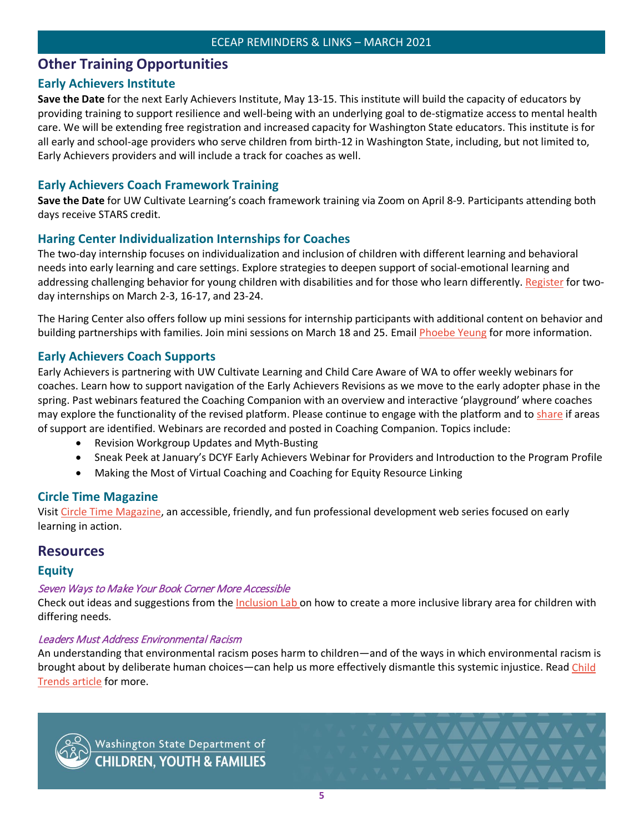# <span id="page-5-0"></span>**Other Training Opportunities**

# <span id="page-5-1"></span>**Early Achievers Institute**

**Save the Date** for the next Early Achievers Institute, May 13-15. This institute will build the capacity of educators by providing training to support resilience and well-being with an underlying goal to de-stigmatize access to mental health care. We will be extending free registration and increased capacity for Washington State educators. This institute is for all early and school-age providers who serve children from birth-12 in Washington State, including, but not limited to, Early Achievers providers and will include a track for coaches as well.

# <span id="page-5-2"></span>**Early Achievers Coach Framework Training**

**Save the Date** for UW Cultivate Learning's coach framework training via Zoom on April 8-9. Participants attending both days receive STARS credit.

# <span id="page-5-3"></span>**Haring Center Individualization Internships for Coaches**

The two-day internship focuses on individualization and inclusion of children with different learning and behavioral needs into early learning and care settings. Explore strategies to deepen support of social-emotional learning and addressing challenging behavior for young children with disabilities and for those who learn differently. [Register](https://docs.google.com/forms/d/e/1FAIpQLScTMxGFeBdbGj5lUvawPeKz4kRYM8Fu4WZPwdzVD-oTrdmulA/closedform) for twoday internships on March 2-3, 16-17, and 23-24.

The Haring Center also offers follow up mini sessions for internship participants with additional content on behavior and building partnerships with families. Join mini sessions on March 18 and 25. Email [Phoebe Yeung](mailto:pcyeung@uw.edu) for more information.

# <span id="page-5-4"></span>**Early Achievers Coach Supports**

Early Achievers is partnering with UW Cultivate Learning and Child Care Aware of WA to offer weekly webinars for coaches. Learn how to support navigation of the Early Achievers Revisions as we move to the early adopter phase in the spring. Past webinars featured the Coaching Companion with an overview and interactive 'playground' where coaches may explore the functionality of the revised platform. Please continue to engage with the platform and to [share](mailto:eceap@dcyf.wa.gov) if areas of support are identified. Webinars are recorded and posted in Coaching Companion. Topics include:

- Revision Workgroup Updates and Myth-Busting
- Sneak Peek at January's DCYF Early Achievers Webinar for Providers and Introduction to the Program Profile
- Making the Most of Virtual Coaching and Coaching for Equity Resource Linking

# <span id="page-5-5"></span>**Circle Time Magazine**

Visit [Circle Time Magazine,](https://cultivatelearning.uw.edu/circle-time-magazine/) an accessible, friendly, and fun professional development web series focused on early learning in action.

# <span id="page-5-6"></span>**Resources**

## **Equity**

## Seven Ways to Make Your Book Corner More Accessible

Check out ideas and suggestions from the *Inclusion Lab* on how to create a more inclusive library area for children with differing needs.

## Leaders Must Address Environmental Racism

An understanding that environmental racism poses harm to children—and of the ways in which environmental racism is brought about by deliberate human choices—can help us more effectively dismantle this systemic injustice. Read [Child](https://www.childtrends.org/blog/to-protect-children-of-color-leaders-must-understand-and-address-environmental-racism)  [Trends article](https://www.childtrends.org/blog/to-protect-children-of-color-leaders-must-understand-and-address-environmental-racism) for more.



Washington State Department of<br>CHILDREN, YOUTH & FAMILIES

**NAVAVAVAVAV**